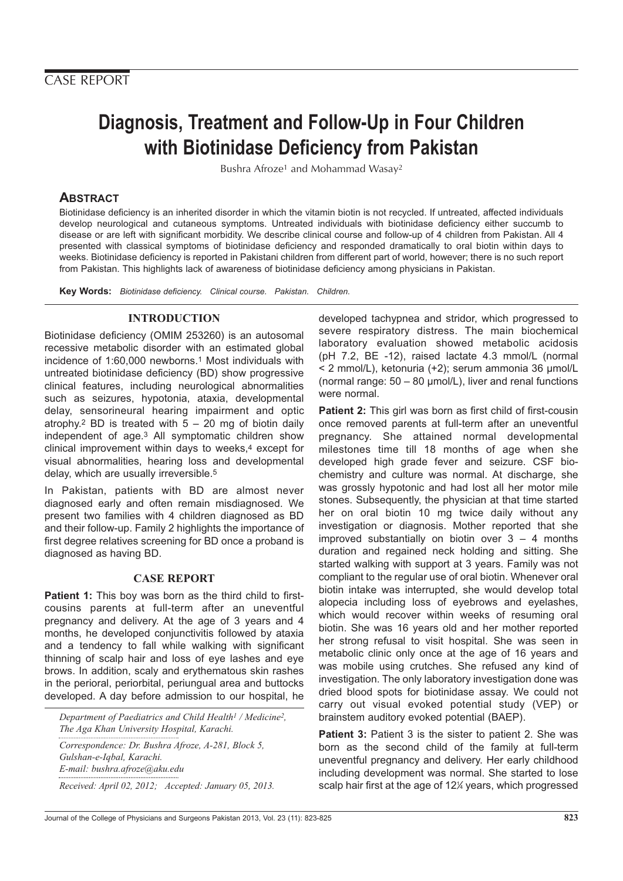# **Diagnosis, Treatment and Follow-Up in Four Children with Biotinidase Deficiency from Pakistan**

Bushra Afroze<sup>1</sup> and Mohammad Wasay<sup>2</sup>

## **ABSTRACT**

Biotinidase deficiency is an inherited disorder in which the vitamin biotin is not recycled. If untreated, affected individuals develop neurological and cutaneous symptoms. Untreated individuals with biotinidase deficiency either succumb to disease or are left with significant morbidity. We describe clinical course and follow-up of 4 children from Pakistan. All 4 presented with classical symptoms of biotinidase deficiency and responded dramatically to oral biotin within days to weeks. Biotinidase deficiency is reported in Pakistani children from different part of world, however; there is no such report from Pakistan. This highlights lack of awareness of biotinidase deficiency among physicians in Pakistan.

**Key Words:** Biotinidase deficiency. Clinical course. Pakistan. Children.

### **INTRODUCTION**

Biotinidase deficiency (OMIM 253260) is an autosomal recessive metabolic disorder with an estimated global incidence of 1:60,000 newborns.1 Most individuals with untreated biotinidase deficiency (BD) show progressive clinical features, including neurological abnormalities such as seizures, hypotonia, ataxia, developmental delay, sensorineural hearing impairment and optic atrophy.<sup>2</sup> BD is treated with  $5 - 20$  mg of biotin daily independent of age.3 All symptomatic children show clinical improvement within days to weeks,<sup>4</sup> except for visual abnormalities, hearing loss and developmental delay, which are usually irreversible.5

In Pakistan, patients with BD are almost never diagnosed early and often remain misdiagnosed. We present two families with 4 children diagnosed as BD and their follow-up. Family 2 highlights the importance of first degree relatives screening for BD once a proband is diagnosed as having BD.

#### **CASE REPORT**

**Patient 1:** This boy was born as the third child to firstcousins parents at full-term after an uneventful pregnancy and delivery. At the age of 3 years and 4 months, he developed conjunctivitis followed by ataxia and a tendency to fall while walking with significant thinning of scalp hair and loss of eye lashes and eye brows. In addition, scaly and erythematous skin rashes in the perioral, periorbital, periungual area and buttocks developed. A day before admission to our hospital, he

*Department of Paediatrics and Child Health1 / Medicine2, The Aga Khan University Hospital, Karachi.*

*Correspondence: Dr. Bushra Afroze, A-281, Block 5, Gulshan-e-Iqbal, Karachi. E-mail: bushra.afroze@aku.edu*

*Received: April 02, 2012; Accepted: January 05, 2013.*

developed tachypnea and stridor, which progressed to severe respiratory distress. The main biochemical laboratory evaluation showed metabolic acidosis (pH 7.2, BE -12), raised lactate 4.3 mmol/L (normal < 2 mmol/L), ketonuria (+2); serum ammonia 36 µmol/L (normal range:  $50 - 80$  µmol/L), liver and renal functions were normal.

**Patient 2:** This girl was born as first child of first-cousin once removed parents at full-term after an uneventful pregnancy. She attained normal developmental milestones time till 18 months of age when she developed high grade fever and seizure. CSF biochemistry and culture was normal. At discharge, she was grossly hypotonic and had lost all her motor mile stones. Subsequently, the physician at that time started her on oral biotin 10 mg twice daily without any investigation or diagnosis. Mother reported that she improved substantially on biotin over  $3 - 4$  months duration and regained neck holding and sitting. She started walking with support at 3 years. Family was not compliant to the regular use of oral biotin. Whenever oral biotin intake was interrupted, she would develop total alopecia including loss of eyebrows and eyelashes, which would recover within weeks of resuming oral biotin. She was 16 years old and her mother reported her strong refusal to visit hospital. She was seen in metabolic clinic only once at the age of 16 years and was mobile using crutches. She refused any kind of investigation. The only laboratory investigation done was dried blood spots for biotinidase assay. We could not carry out visual evoked potential study (VEP) or brainstem auditory evoked potential (BAEP).

**Patient 3:** Patient 3 is the sister to patient 2. She was born as the second child of the family at full-term uneventful pregnancy and delivery. Her early childhood including development was normal. She started to lose scalp hair first at the age of 12¼ years, which progressed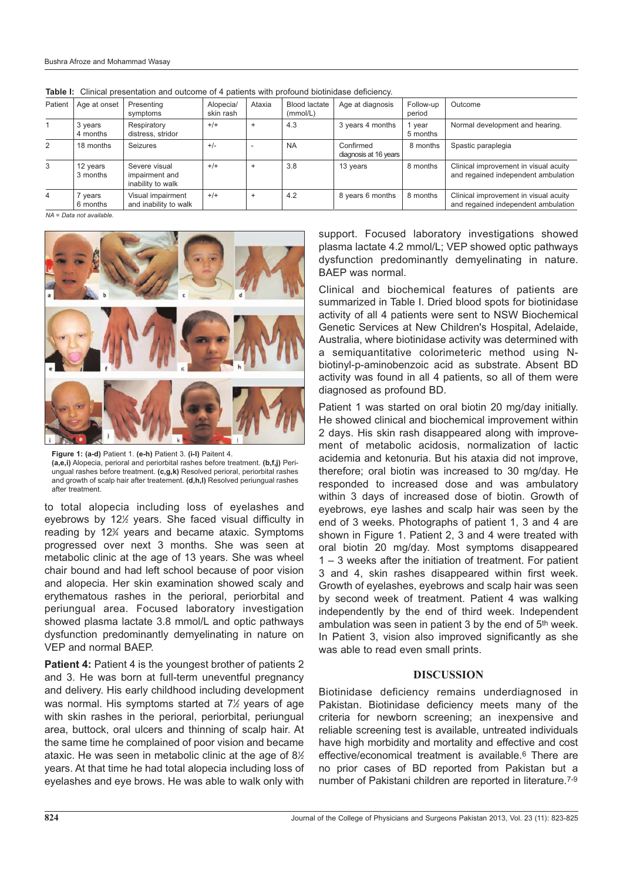| Patient        | Age at onset         | Presenting                                           | Alopecia/<br>skin rash | Ataxia         | <b>Blood lactate</b> | Age at diagnosis                   | Follow-up          | Outcome                                                                      |
|----------------|----------------------|------------------------------------------------------|------------------------|----------------|----------------------|------------------------------------|--------------------|------------------------------------------------------------------------------|
|                |                      | symptoms                                             |                        |                | (mmol/L)             |                                    | period             |                                                                              |
|                | 3 years<br>4 months  | Respiratory<br>distress, stridor                     | $+/+$                  | $\overline{+}$ | 4.3                  | 3 years 4 months                   | 1 year<br>5 months | Normal development and hearing.                                              |
| 2              | 18 months            | Seizures                                             | $+/-$                  |                | <b>NA</b>            | Confirmed<br>diagnosis at 16 years | 8 months           | Spastic paraplegia                                                           |
| 3              | 12 years<br>3 months | Severe visual<br>impairment and<br>inability to walk | $+/-$                  | $\ddot{}$      | 3.8                  | 13 years                           | 8 months           | Clinical improvement in visual acuity<br>and regained independent ambulation |
| $\overline{4}$ | years<br>6 months    | Visual impairment<br>and inability to walk           | $+/-$                  | $\ddot{}$      | 4.2                  | 8 years 6 months                   | 8 months           | Clinical improvement in visual acuity<br>and regained independent ambulation |

**Table I:** Clinical presentation and outcome of 4 patients with profound biotinidase deficiency.

 $NA = Data not available$ 



**Figure 1: (a-d)** Patient 1. **(e-h)** Patient 3. **(i-l)** Paitent 4. **(a,e,i)** Alopecia, perioral and periorbital rashes before treatment. **(b,f,j)** Periungual rashes before treatment. **(c,g,k)** Resolved perioral, periorbital rashes and growth of scalp hair after treatement. **(d,h,l)** Resolved periungual rashes after treatment.

to total alopecia including loss of eyelashes and eyebrows by 12<sup>%</sup> years. She faced visual difficulty in reading by 123 ⁄4 years and became ataxic. Symptoms progressed over next 3 months. She was seen at metabolic clinic at the age of 13 years. She was wheel chair bound and had left school because of poor vision and alopecia. Her skin examination showed scaly and erythematous rashes in the perioral, periorbital and periungual area. Focused laboratory investigation showed plasma lactate 3.8 mmol/L and optic pathways dysfunction predominantly demyelinating in nature on VEP and normal BAEP.

**Patient 4:** Patient 4 is the youngest brother of patients 2 and 3. He was born at full-term uneventful pregnancy and delivery. His early childhood including development was normal. His symptoms started at 7½ years of age with skin rashes in the perioral, periorbital, periungual area, buttock, oral ulcers and thinning of scalp hair. At the same time he complained of poor vision and became ataxic. He was seen in metabolic clinic at the age of 8 $\%$ years. At that time he had total alopecia including loss of eyelashes and eye brows. He was able to walk only with

support. Focused laboratory investigations showed plasma lactate 4.2 mmol/L; VEP showed optic pathways dysfunction predominantly demyelinating in nature. BAEP was normal.

Clinical and biochemical features of patients are summarized in Table I. Dried blood spots for biotinidase activity of all 4 patients were sent to NSW Biochemical Genetic Services at New Children's Hospital, Adelaide, Australia, where biotinidase activity was determined with a semiquantitative colorimeteric method using Nbiotinyl-p-aminobenzoic acid as substrate. Absent BD activity was found in all 4 patients, so all of them were diagnosed as profound BD.

Patient 1 was started on oral biotin 20 mg/day initially. He showed clinical and biochemical improvement within 2 days. His skin rash disappeared along with improvement of metabolic acidosis, normalization of lactic acidemia and ketonuria. But his ataxia did not improve, therefore; oral biotin was increased to 30 mg/day. He responded to increased dose and was ambulatory within 3 days of increased dose of biotin. Growth of eyebrows, eye lashes and scalp hair was seen by the end of 3 weeks. Photographs of patient 1, 3 and 4 are shown in Figure 1. Patient 2, 3 and 4 were treated with oral biotin 20 mg/day. Most symptoms disappeared 1 – 3 weeks after the initiation of treatment. For patient 3 and 4, skin rashes disappeared within first week. Growth of eyelashes, eyebrows and scalp hair was seen by second week of treatment. Patient 4 was walking independently by the end of third week. Independent ambulation was seen in patient 3 by the end of 5th week. In Patient 3, vision also improved significantly as she was able to read even small prints.

#### **DISCUSSION**

Biotinidase deficiency remains underdiagnosed in Pakistan. Biotinidase deficiency meets many of the criteria for newborn screening; an inexpensive and reliable screening test is available, untreated individuals have high morbidity and mortality and effective and cost effective/economical treatment is available.6 There are no prior cases of BD reported from Pakistan but a number of Pakistani children are reported in literature.7-9